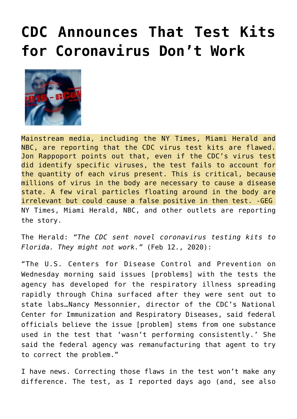## **[CDC Announces That Test Kits](https://needtoknow.news/2020/02/cdc-announces-that-test-kits-for-coronavirus-dont-work/) [for Coronavirus Don't Work](https://needtoknow.news/2020/02/cdc-announces-that-test-kits-for-coronavirus-dont-work/)**



Mainstream media, including the NY Times, Miami Herald and NBC, are reporting that the CDC virus test kits are flawed. Jon Rappoport points out that, even if the CDC's virus test did identify specific viruses, the test fails to account for the quantity of each virus present. This is critical, because millions of virus in the body are necessary to cause a disease state. A few viral particles floating around in the body are irrelevant but could cause a false positive in then test. -GEG NY Times, Miami Herald, NBC, and other outlets are reporting the story.

[The Herald:](https://www.miamiherald.com/news/health-care/article240223446.html) *"The CDC sent novel coronavirus testing kits to Florida. They might not work."* (Feb 12., 2020):

"The U.S. Centers for Disease Control and Prevention on Wednesday morning said issues [problems] with the tests the agency has developed for the respiratory illness spreading rapidly through China surfaced after they were sent out to state labs…Nancy Messonnier, director of the CDC's National Center for Immunization and Respiratory Diseases, said federal officials believe the issue [problem] stems from one substance used in the test that 'wasn't performing consistently.' She said the federal agency was remanufacturing that agent to try to correct the problem."

I have news. Correcting those flaws in the test won't make any difference. The test, [as I reported days ago](https://blog.nomorefakenews.com/2020/02/05/my-bottom-lines-on-the-china-epidemic/) (and, see also